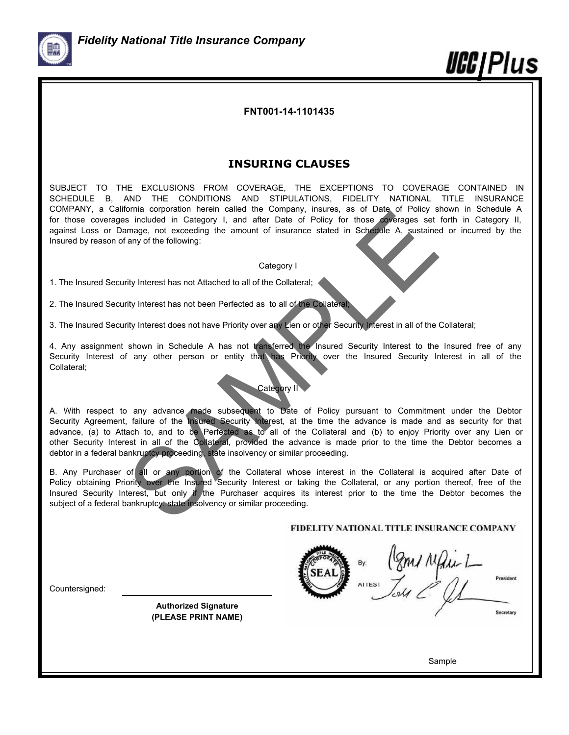

*lll*/Plus

**FNT001-14-1101435**

# **INSURING CLAUSES**

SUBJECT TO THE EXCLUSIONS FROM COVERAGE, THE EXCEPTIONS TO COVERAGE CONTAINED IN SCHEDULE B, AND THE CONDITIONS AND STIPULATIONS, FIDELITY NATIONAL TITLE INSURANCE COMPANY, a California corporation herein called the Company, insures, as of Date of Policy shown in Schedule A for those coverages included in Category I, and after Date of Policy for those coverages set forth in Category II, against Loss or Damage, not exceeding the amount of insurance stated in Schedule A, sustained or incurred by the Insured by reason of any of the following:

# Category I

1. The Insured Security Interest has not Attached to all of the Collateral;

2. The Insured Security Interest has not been Perfected as to all of the Collateral;

3. The Insured Security Interest does not have Priority over any Lien or other Security Interest in all of the Collateral;

4. Any assignment shown in Schedule A has not transferred the Insured Security Interest to the Insured free of any Security Interest of any other person or entity that has Priority over the Insured Security Interest in all of the Collateral;

# Category II

A. With respect to any advance made subsequent to Date of Policy pursuant to Commitment under the Debtor Security Agreement, failure of the Insured Security Interest, at the time the advance is made and as security for that advance, (a) to Attach to, and to be Perfected as to all of the Collateral and (b) to enjoy Priority over any Lien or other Security Interest in all of the Collateral, provided the advance is made prior to the time the Debtor becomes a debtor in a federal bankruptcy proceeding, state insolvency or similar proceeding. oriental content content can be company, instituted in Category 1, and after Date of Policy for those correspones set<br>any of the following:<br>any of the following:<br>any of the following:<br>any of the following:<br>any of the follo

B. Any Purchaser of all or any portion of the Collateral whose interest in the Collateral is acquired after Date of Policy obtaining Priority over the Insured Security Interest or taking the Collateral, or any portion thereof, free of the Insured Security Interest, but only if the Purchaser acquires its interest prior to the time the Debtor becomes the subject of a federal bankruptcy, state insolvency or similar proceeding.

Countersigned:

**Authorized Signature (PLEASE PRINT NAME)**

By: (Ignal Melin 1

Sample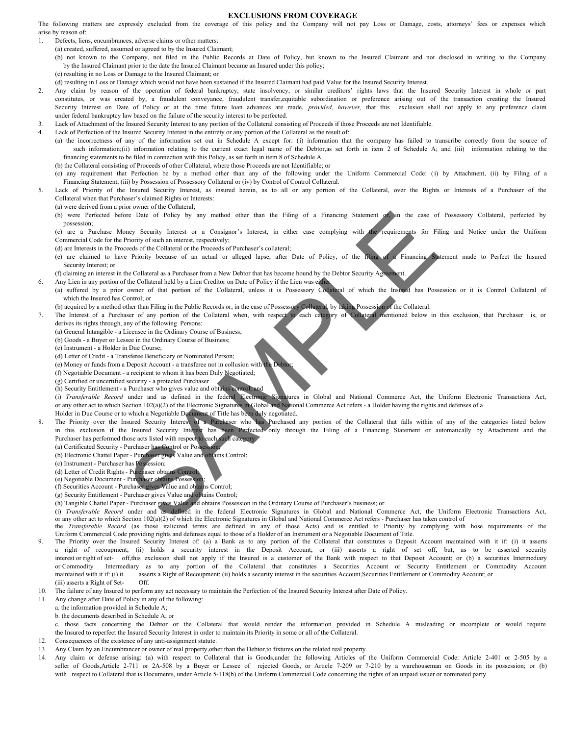# **EXCLUSIONS FROM COVERAGE**

The following matters are expressly excluded from the coverage of this policy and the Company will not pay Loss or Damage, costs, attorneys' fees or expenses which arise by reason of:

1. Defects, liens, encumbrances, adverse claims or other matters: (a) created, suffered, assumed or agreed to by the Insured Claimant;

(b) not known to the Company, not filed in the Public Records at Date of Policy, but known to the Insured Claimant and not disclosed in writing to the Company by the Insured Claimant prior to the date the Insured Claimant became an Insured under this policy; (c) resulting in no Loss or Damage to the Insured Claimant; or

(d) resulting in Loss or Damage which would not have been sustained if the Insured Claimant had paid Value for the Insured Security Interest.

2. Any claim by reason of the operation of federal bankruptcy, state insolvency, or similar creditors' rights laws that the Insured Security Interest in whole or part constitutes, or was created by, a fraudulent conveyance, fraudulent transfer,equitable subordination or preference arising out of the transaction creating the Insured Security Interest on Date of Policy or at the time future loan advances are made, *provided*, *however,* that thisexclusion shall not apply to any preference claim under federal bankruptcy law based on the failure of the security interest to be perfected.

- 3*.* Lack of Attachment of the Insured Security Interest to any portion of the Collateral consisting of Proceeds if those Proceeds are not Identifiable.
- Lack of Perfection of the Insured Security Interest in the entirety or any portion of the Collateral as the result of:

(a) the incorrectness of any of the information set out in Schedule A except for: (i) information that the company has failed to transcribe correctly from the source of such information;(ii) information relating to the current exact legal name of the Debtor,as set forth in item 2 of Schedule A; and (iii) information relating to the financing statements to be filed in connection with this Policy, as set forth in item 8 of Schedule A.

- (b) the Collateral consisting of Proceeds of other Collateral, where those Proceeds are not Identifiable; or
- (c) any requirement that Perfection be by a method other than any of the following under the Uniform Commercial Code: ( i) by Attachment, (ii) by Filing of a Financing Statement, (iii) by Possession of Possessory Collateral or (iv) by Control of Control Collateral.
- 5. Lack of Priority of the Insured Security Interest, as insured herein, as to all or any portion of the Collateral, over the Rights or Interests of a Purchaser of the Collateral when that Purchaser's claimed Rights or Interests:
	- (a) were derived from a prior owner of the Collateral;
	- (b) were Perfected before Date of Policy by any method other than the Filing of a Financing Statement or, in the case of Possessory Collateral, perfected by possession;

(c) are a Purchase Money Security Interest or a Consignor's Interest, in either case complying with the requirements for Filing and Notice under the Uniform Commercial Code for the Priority of such an interest, respectively;

- (d) are Interests in the Proceeds of the Collateral or the Proceeds of Purchaser's collateral;
- (e) are claimed to have Priority because of an actual or alleged lapse, after Date of Policy, of the filing of a Financing Statement made to Perfect the Insured Security Interest; or
- (f) claiming an interest in the Collateral as a Purchaser from a New Debtor that has become bound by the Debtor Security Agreement.
- 6. Any Lien in any portion of the Collateral held by a Lien Creditor on Date of Policy if the Lien was either
	- (a) suffered by a prior owner of that portion of the Collateral, unless it is Possessory Collateral of which the Insured has Possession or it is Control Collateral of which the Insured has Control; or
	- (b) acquired by a method other than Filing in the Public Records or, in the case of Possessory Collateral, by taking Possession of the Collateral.
- 7. The Interest of a Purchaser of any portion of the Collateral when, with respect to each category of Collateral mentioned below in this exclusion, that Purchaser is, or derives its rights through, any of the following Persons:
	- (a) General Intangible a Licensee in the Ordinary Course of Business;
		- (b) Goods a Buyer or Lessee in the Ordinary Course of Business;
		- (c) Instrument a Holder in Due Course;
		- (d) Letter of Credit a Transferee Beneficiary or Nominated Person;
		- (e) Money or funds from a Deposit Account a transferee not in collusion with
		- (f) Negotiable Document a recipient to whom it has been Duly Negotiated;
		- (g) Certified or uncertified security a protected Purchaser
		- (h) Security Entitlement a Purchaser who gives value and obtains control; and

(i) *Transferable Record* under and as defined in the federal Electronic Signatures in Global and National Commerce Act, the Uniform Electronic Transactions Act, or any other act to which Section 102(a)(2) of the Electronic Signatures in Global and National Commerce Act refers - a Holder having the rights and defenses of a Holder in Due Course or to which a Negotiable Document of Title has been duly negotiated.

- 8. The Priority over the Insured Security Interest of a Purchaser who has Purchased any portion of the Collateral that falls within of any of the categories listed below in this exclusion if the Insured Security Interest has been Perfected only through the Filing of a Financing Statement or automatically by Attachment and the Purchaser has performed those acts listed with respect to each such category: or Date of Policy by any method other than the Filing of a Financing Statement of an the case of<br>
Periodic of Policy Interest or a Consigner's Interest, in either case complying with requirements for Fi<br>
Periodic Collectra
	- (a) Certificated Security Purchaser has Control or Posse
	- (b) Electronic Chattel Paper Purchaser gives Value and obtains Control;
	- (c) Instrument Purchaser has Possession;
	- (d) Letter of Credit Rights Purchaser obtains Co
	- (e) Negotiable Document Purchaser obtains Possession;
	- (f) Securities Account Purchaser gives Value and obtains Control;
	- (g) Security Entitlement Purchaser gives Value and obtains Control;
	- (h) Tangible Chattel Paper Purchaser gives Value and obtains Possession in the Ordinary Course of Purchaser's business: or

(i) *Transferable Record* under and as defined in the federal Electronic Signatures in Global and National Commerce Act, the Uniform Electronic Transactions Act, or any other act to which Section 102(a)(2) of which the Electronic Signatures in Global and National Commerce Act refers - Purchaser has taken control of

- the *Transferable Record* (as those italicized terms are defined in any of those Acts) and is entitled to Priority by complying with hose requirements of the Uniform Commercial Code providing rights and defenses equal to those of a Holder of an Instrument or a Negotiable Document of Title.
- The Priority over the Insured Security Interest of: (a) a Bank as to any portion of the Collateral that constitutes a Deposit Account maintained with it if: (i) it asserts a right of recoupment; (ii) holds a security interest in the Deposit Account; or (iii) asserts a right of set off, but, as to be asserted security interest or right of set- off,this exclusion shall not apply if the Insured is a customer of the Bank with respect to that Deposit Account; or (b) a securities Intermediary or Commodity Intermediary as to any portion of the Collateral that constitutes a Securities Account or Security Entitlement or Commodity Account maintained with it if: (i) it asserts a Right of Recoupment; (ii) holds a security interest in the securities Account, Securities Entitlement or Commodity Account; or (iii) asserts a Right of Set- Off.
- 10. The failure of any Insured to perform any act necessary to maintain the Perfection of the Insured Security Interest after Date of Policy.
- 11. Any change after Date of Policy in any of the following:

a. the information provided in Schedule A;

b. the documents described in Schedule A; or

c. those facts concerning the Debtor or the Collateral that would render the information provided in Schedule A misleading or incomplete or would require the Insured to reperfect the Insured Security Interest in order to maintain its Priority in some or all of the Collateral.

- 12. Consequences of the existence of any anti-assignment statute.
- 13. Any Claim by an Encumbrancer or owner of real property,other than the Debtor,to fixtures on the related real property.
- 14. Any claim or defense arising: (a) with respect to Collateral that is Goods,under the following Articles of the Uniform Commercial Code: Article 2-401 or 2-505 by a seller of Goods, Article 2-711 or 2A-508 by a Buyer or Lessee of rejected Goods, or Article 7-209 or 7-210 by a warehouseman on Goods in its possession; or (b) with respect to Collateral that is Documents, under Article 5-118(b) of the Uniform Commercial Code concerning the rights of an unpaid issuer or nominated party.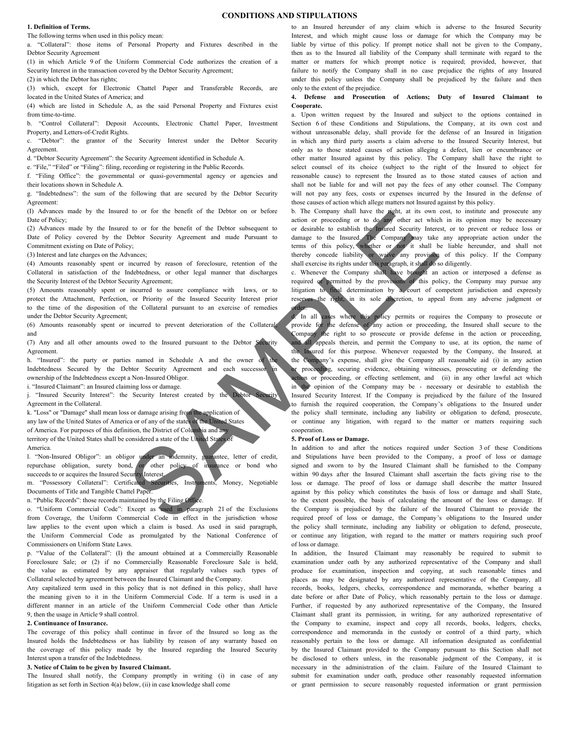# **CONDITIONS AND STIPULATIONS**

#### **1. Definition of Terms.**

The following terms when used in this policy mean:

a. "Collateral": those items of Personal Property and Fixtures described in the Debtor Security Agreement

(1) in which Article 9 of the Uniform Commercial Code authorizes the creation of a Security Interest in the transaction covered by the Debtor Security Agreement; (2) in which the Debtor has rights;

(3) which, except for Electronic Chattel Paper and Transferable Records, are located in the United States of America; and

(4) which are listed in Schedule A, as the said Personal Property and Fixtures exist from time-to-time.

b. "Control Collateral": Deposit Accounts, Electronic Chattel Paper, Investment Property, and Letters-of-Credit Rights.

c. "Debtor": the grantor of the Security Interest under the Debtor Security Agreement.

d. "Debtor Security Agreement": the Security Agreement identified in Schedule A.

e. "File," "Filed" or "Filing": filing, recording or registering in the Public Records.

f. "Filing Office": the governmental or quasi-governmental agency or agencies and their locations shown in Schedule A.

g. "Indebtedness": the sum of the following that are secured by the Debtor Security Agreement:

(I) Advances made by the Insured to or for the benefit of the Debtor on or before Date of Policy;

(2) Advances made by the Insured to or for the benefit of the Debtor subsequent to Date of Policy covered by the Debtor Security Agreement and made Pursuant to Commitment existing on Date of Policy;

(3) Interest and late charges on the Advances;

(4) Amounts reasonably spent or incurred by reason of foreclosure, retention of the Collateral in satisfaction of the Indebtedness, or other legal manner that discharges the Security Interest of the Debtor Security Agreement;

(5) Amounts reasonably spent or incurred to assure compliance with laws, or to protect the Attachment, Perfection, or Priority of the Insured Security Interest prior to the time of the disposition of the Collateral pursuant to an exercise of remedies under the Debtor Security Agreement;

(6) Amounts reasonably spent or incurred to prevent deterioration of the Collateral; and

(7) Any and all other amounts owed to the Insured pursuant to the Debtor Security Agreement.

h. "Insured": the party or parties named in Schedule A and the owner of Indebtedness Secured by the Debtor Security Agreement and each successor ownership of the Indebtedness except a Non-Insured Obligor.

i. "Insured Claimant": an Insured claiming loss or damage.

j. "Insured Security Interest": the Security Interest created by the Debtor Security Agreement in the Collateral.

k. "Loss" or "Damage" shall mean loss or damage arising from the application of any law of the United States of America or of any of the states of the United States of America. For purposes of this definition, the District of Columbia and any territory of the United States shall be considered a state of the United States of

America.

l. "Non-Insured Obligor": an obligor under an indemnity, guarantee, letter of credit, repurchase obligation, surety bond, or other policy of insurance or bond who succeeds to or acquires the Insured Security Interest. m. "Possessory Collateral": Certificated Securities, Instruments, Money, Negotiable

Documents of Title and Tangible Chattel Paper.

n. "Public Records": those records maintained by the Filing Office.

o. "Uniform Commercial Code": Except as used in paragraph 21 of the Exclusions from Coverage, the Uniform Commercial Code in effect in the jurisdiction whose law applies to the event upon which a claim is based. As used in said paragraph, the Uniform Commercial Code as promulgated by the National Conference of Commissioners on Uniform State Laws.

p. "Value of the Collateral": (I) the amount obtained at a Commercially Reasonable Foreclosure Sale; or (2) if no Commercially Reasonable Foreclosure Sale is held, the value as estimated by any appraiser that regularly values such types of Collateral selected by agreement between the Insured Claimant and the Company.

Any capitalized term used in this policy that is not defined in this policy, shall have the meaning given to it in the Uniform Commercial Code. If a term is used in a different manner in an article of the Uniform Commercial Code other than Article 9, then the usage in Article 9 shall control.

# **2. Continuance of Insurance.**

The coverage of this policy shall continue in favor of the Insured so long as the Insured holds the Indebtedness or has liability by reason of any warranty based on the coverage of this policy made by the Insured regarding the Insured Security Interest upon a transfer of the Indebtedness.

## **3. Notice of Claim to be given by Insured Claimant.**

The Insured shall notify, the Company promptly in writing (i) in case of any litigation as set forth in Section 4(a) below, (ii) in case knowledge shall come

to an Insured hereunder of any claim which is adverse to the Insured Security Interest, and which might cause loss or damage for which the Company may be liable by virtue of this policy. If prompt notice shall not be given to the Company, then as to the Insured all liability of the Company shall terminate with regard to the matter or matters for which prompt notice is required; provided, however, that failure to notify the Company shall in no case prejudice the rights of any Insured under this policy unless the Company shall be prejudiced by the failure and then only to the extent of the prejudice.

#### **4. Defense and Prosecution of Actions; Duty of Insured Claimant to Cooperate.**

a. Upon written request by the Insured and subject to the options contained in Section 6 of these Conditions and Stipulations, the Company, at its own cost and without unreasonable delay, shall provide for the defense of an Insured in litigation in which any third party asserts a claim adverse to the Insured Security Interest, but only as to those stated causes of action alleging a defect, lien or encumbrance or other matter Insured against by this policy. The Company shall have the right to select counsel of its choice (subject to the right of the Insured to object for reasonable cause) to represent the Insured as to those stated causes of action and shall not be liable for and will not pay the fees of any other counsel. The Company will not pay any fees, costs or expenses incurred by the Insured in the defense of those causes of action which allege matters not Insured against by this policy.

b. The Company shall have the right, at its own cost, to institute and prosecute any action or proceeding or to do any other act which in its opinion may be necessary or desirable to establish the Insured Security Interest, or to prevent or reduce loss or damage to the Insured. The Company may take any appropriate action under the terms of this policy, whether or not it shall be liable hereunder, and shall not thereby concede liability or waive any provision of this policy. If the Company shall exercise its rights under this paragraph, it shall do so diligently.

c. Whenever the Company shall have brought an action or interposed a defense as required or permitted by the provisions of this policy, the Company may pursue any litigation to final determination by a court of competent jurisdiction and expressly reserves the right, in its sole discretion, to appeal from any adverse judgment or order.

In all cases where this policy permits or requires the Company to prosecute or provide for the defense of any action or proceeding, the Insured shall secure to the Company the right to so prosecute or provide defense in the action or proceeding, all appeals therein, and permit the Company to use, at its option, the name of the Insured for this purpose. Whenever requested by the Company, the Insured, at the Company's expense, shall give the Company all reasonable aid (i) in any action proceeding, securing evidence, obtaining witnesses, prosecuting or defending the action or proceeding, or effecting settlement, and (ii) in any other lawful act which in the opinion of the Company may be - necessary or desirable to establish the Insured Security Interest. If the Company is prejudiced by the failure of the Insured to furnish the required cooperation, the Company's obligations to the Insured under the policy shall terminate, including any liability or obligation to defend, prosecute, or continue any litigation, with regard to the matter or matters requiring such cooperation. d to or for the benefit of the Debtor on or before and have the company and have the control of the control of the control of the control of the control of the control of the control of the control of the control of the co

# **5. Proof of Loss or Damage.**

In addition to and after the notices required under Section 3 of these Conditions and Stipulations have been provided to the Company, a proof of loss or damage signed and sworn to by the Insured Claimant shall be furnished to the Company within 90 days after the Insured Claimant shall ascertain the facts giving rise to the loss or damage. The proof of loss or damage shall describe the matter Insured against by this policy which constitutes the basis of loss or damage and shall State, to the extent possible, the basis of calculating the amount of the loss or damage. If the Company is prejudiced by the failure of the Insured Claimant to provide the required proof of loss or damage, the Company's obligations to the Insured under the policy shall terminate, including any liability or obligation to defend, prosecute, or continue any litigation, with regard to the matter or matters requiring such proof of loss or damage.

In addition, the Insured Claimant may reasonably be required to submit to examination under oath by any authorized representative of the Company and shall produce for examination, inspection and copying, at such reasonable times and places as may be designated by any authorized representative of the Company, all records, books, ledgers, checks, correspondence and memoranda, whether bearing a date before or after Date of Policy, which reasonably pertain to the loss or damage. Further, if requested by any authorized representative of the Company, the Insured Claimant shall grant its permission, in writing, for any authorized representative of the Company to examine, inspect and copy all records, books, ledgers, checks, correspondence and memoranda in the custody or control of a third party, which reasonably pertain to the loss or damage. All information designated as confidential by the Insured Claimant provided to the Company pursuant to this Section shall not be disclosed to others unless, in the reasonable judgment of the Company, it is necessary in the administration of the claim. Failure of the Insured Claimant to submit for examination under oath, produce other reasonably requested information or grant permission to secure reasonably requested information or grant permission